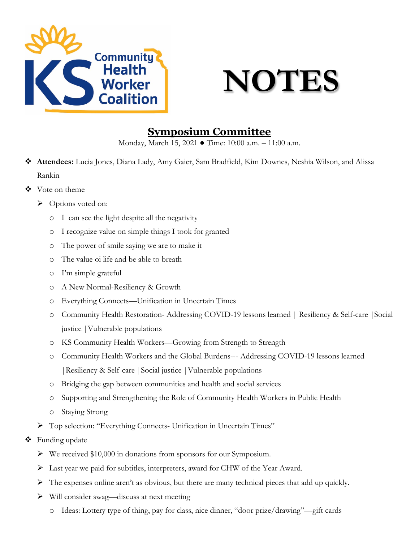

### **NOTES**

#### **Symposium Committee**

Monday, March 15, 2021 ● Time: 10:00 a.m. – 11:00 a.m.

- **Attendees:** Lucia Jones, Diana Lady, Amy Gaier, Sam Bradfield, Kim Downes, Neshia Wilson, and Alissa Rankin
- ❖ Vote on theme
	- $\triangleright$  Options voted on:
		- o I can see the light despite all the negativity
		- o I recognize value on simple things I took for granted
		- o The power of smile saying we are to make it
		- o The value oi life and be able to breath
		- o I'm simple grateful
		- o A New Normal-Resiliency & Growth
		- o Everything Connects—Unification in Uncertain Times
		- o Community Health Restoration- Addressing COVID-19 lessons learned | Resiliency & Self-care |Social justice |Vulnerable populations
		- o KS Community Health Workers—Growing from Strength to Strength
		- o Community Health Workers and the Global Burdens--- Addressing COVID-19 lessons learned |Resiliency & Self-care |Social justice |Vulnerable populations
		- o Bridging the gap between communities and health and social services
		- o Supporting and Strengthening the Role of Community Health Workers in Public Health
		- o Staying Strong
	- Top selection: "Everything Connects- Unification in Uncertain Times"
- ❖ Funding update
	- We received \$10,000 in donations from sponsors for our Symposium.
	- Last year we paid for subtitles, interpreters, award for CHW of the Year Award.
	- The expenses online aren't as obvious, but there are many technical pieces that add up quickly.
	- Will consider swag—discuss at next meeting
		- o Ideas: Lottery type of thing, pay for class, nice dinner, "door prize/drawing"—gift cards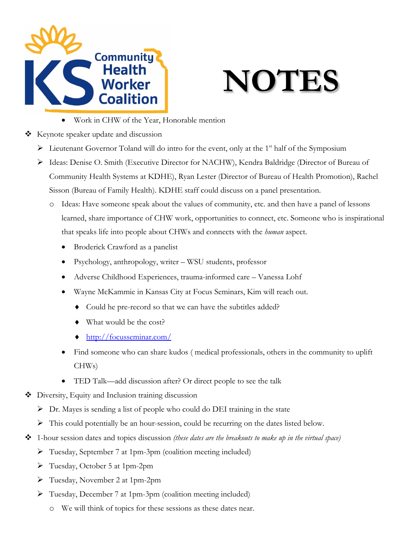

# **NOTES**

- Work in CHW of the Year, Honorable mention
- $\triangleleft$  Keynote speaker update and discussion
	- $\triangleright$  Lieutenant Governor Toland will do intro for the event, only at the 1<sup>st</sup> half of the Symposium
	- ▶ Ideas: Denise O. Smith (Executive Director for NACHW), Kendra Baldridge (Director of Bureau of Community Health Systems at KDHE), Ryan Lester (Director of Bureau of Health Promotion), Rachel Sisson (Bureau of Family Health). KDHE staff could discuss on a panel presentation.
		- o Ideas: Have someone speak about the values of community, etc. and then have a panel of lessons learned, share importance of CHW work, opportunities to connect, etc. Someone who is inspirational that speaks life into people about CHWs and connects with the *human* aspect.
			- Broderick Crawford as a panelist
			- Psychology, anthropology, writer WSU students, professor
			- Adverse Childhood Experiences, trauma-informed care Vanessa Lohf
			- Wayne McKammie in Kansas City at Focus Seminars, Kim will reach out.
				- ♦ Could he pre-record so that we can have the subtitles added?
				- ♦ What would be the cost?
				- ♦ <http://focusseminar.com/>
			- Find someone who can share kudos ( medical professionals, others in the community to uplift CHWs)
			- TED Talk—add discussion after? Or direct people to see the talk
- ◆ Diversity, Equity and Inclusion training discussion
	- $\triangleright$  Dr. Mayes is sending a list of people who could do DEI training in the state
	- $\triangleright$  This could potentially be an hour-session, could be recurring on the dates listed below.
- 1-hour session dates and topics discussion *(these dates are the breakouts to make up in the virtual space)*
	- Tuesday, September 7 at 1pm-3pm (coalition meeting included)
	- Tuesday, October 5 at 1pm-2pm
	- Tuesday, November 2 at 1pm-2pm
	- Tuesday, December 7 at 1pm-3pm (coalition meeting included)
		- o We will think of topics for these sessions as these dates near.